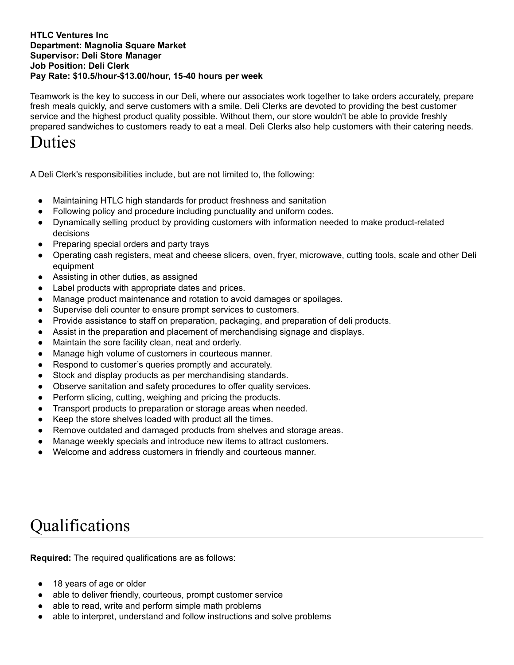## **HTLC Ventures Inc Department: Magnolia Square Market Supervisor: Deli Store Manager Job Position: Deli Clerk Pay Rate: \$10.5/hour-\$13.00/hour, 15-40 hours per week**

Teamwork is the key to success in our Deli, where our associates work together to take orders accurately, prepare fresh meals quickly, and serve customers with a smile. Deli Clerks are devoted to providing the best customer service and the highest product quality possible. Without them, our store wouldn't be able to provide freshly prepared sandwiches to customers ready to eat a meal. Deli Clerks also help customers with their catering needs.

## Duties

A Deli Clerk's responsibilities include, but are not limited to, the following:

- Maintaining HTLC high standards for product freshness and sanitation
- Following policy and procedure including punctuality and uniform codes.
- Dynamically selling product by providing customers with information needed to make product-related decisions
- Preparing special orders and party trays
- Operating cash registers, meat and cheese slicers, oven, fryer, microwave, cutting tools, scale and other Deli equipment
- Assisting in other duties, as assigned
- Label products with appropriate dates and prices.
- Manage product maintenance and rotation to avoid damages or spoilages.
- Supervise deli counter to ensure prompt services to customers.
- Provide assistance to staff on preparation, packaging, and preparation of deli products.
- Assist in the preparation and placement of merchandising signage and displays.
- Maintain the sore facility clean, neat and orderly.
- Manage high volume of customers in courteous manner.
- Respond to customer's queries promptly and accurately.
- Stock and display products as per merchandising standards.
- Observe sanitation and safety procedures to offer quality services.
- Perform slicing, cutting, weighing and pricing the products.
- Transport products to preparation or storage areas when needed.
- Keep the store shelves loaded with product all the times.
- Remove outdated and damaged products from shelves and storage areas.
- Manage weekly specials and introduce new items to attract customers.
- Welcome and address customers in friendly and courteous manner.

## Qualifications

**Required:** The required qualifications are as follows:

- 18 years of age or older
- able to deliver friendly, courteous, prompt customer service
- able to read, write and perform simple math problems
- able to interpret, understand and follow instructions and solve problems